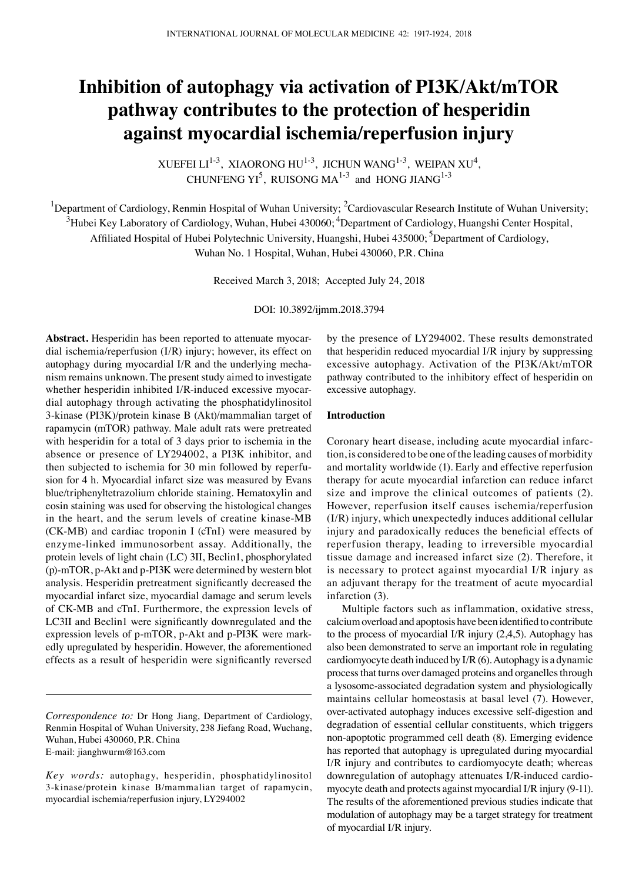# **Inhibition of autophagy via activation of PI3K/Akt/mTOR pathway contributes to the protection of hesperidin against myocardial ischemia/reperfusion injury**

XUEFEI LI<sup>1-3</sup>, XIAORONG HU<sup>1-3</sup>, JICHUN WANG<sup>1-3</sup>, WEIPAN XU<sup>4</sup>, CHUNFENG  $YI^5$ , RUISONG MA<sup>1-3</sup> and HONG JIANG<sup>1-3</sup>

<sup>1</sup>Department of Cardiology, Renmin Hospital of Wuhan University; <sup>2</sup>Cardiovascular Research Institute of Wuhan University;  $^3$ Hubei Key Laboratory of Cardiology, Wuhan, Hubei 430060;  $^4$ Department of Cardiology, Huangshi Center Hospital, Affiliated Hospital of Hubei Polytechnic University, Huangshi, Hubei 435000; <sup>5</sup>Department of Cardiology,

Wuhan No. 1 Hospital, Wuhan, Hubei 430060, P.R. China

Received March 3, 2018; Accepted July 24, 2018

DOI: 10.3892/ijmm.2018.3794

**Abstract.** Hesperidin has been reported to attenuate myocardial ischemia/reperfusion (I/R) injury; however, its effect on autophagy during myocardial I/R and the underlying mechanism remains unknown. The present study aimed to investigate whether hesperidin inhibited I/R-induced excessive myocardial autophagy through activating the phosphatidylinositol 3-kinase (PI3K)/protein kinase B (Akt)/mammalian target of rapamycin (mTOR) pathway. Male adult rats were pretreated with hesperidin for a total of 3 days prior to ischemia in the absence or presence of LY294002, a PI3K inhibitor, and then subjected to ischemia for 30 min followed by reperfusion for 4 h. Myocardial infarct size was measured by Evans blue/triphenyltetrazolium chloride staining. Hematoxylin and eosin staining was used for observing the histological changes in the heart, and the serum levels of creatine kinase-MB (CK-MB) and cardiac troponin I (cTnI) were measured by enzyme-linked immunosorbent assay. Additionally, the protein levels of light chain (LC) 3Ⅱ, Beclin1, phosphorylated (p)-mTOR, p-Akt and p-PI3K were determined by western blot analysis. Hesperidin pretreatment significantly decreased the myocardial infarct size, myocardial damage and serum levels of CK-MB and cTnI. Furthermore, the expression levels of LC3Ⅱ and Beclin1 were significantly downregulated and the expression levels of p-mTOR, p-Akt and p-PI3K were markedly upregulated by hesperidin. However, the aforementioned effects as a result of hesperidin were significantly reversed by the presence of LY294002. These results demonstrated that hesperidin reduced myocardial I/R injury by suppressing excessive autophagy. Activation of the PI3K/Akt/mTOR pathway contributed to the inhibitory effect of hesperidin on excessive autophagy.

## **Introduction**

Coronary heart disease, including acute myocardial infarction, is considered to be one of the leading causes of morbidity and mortality worldwide (1). Early and effective reperfusion therapy for acute myocardial infarction can reduce infarct size and improve the clinical outcomes of patients (2). However, reperfusion itself causes ischemia/reperfusion (I/R) injury, which unexpectedly induces additional cellular injury and paradoxically reduces the beneficial effects of reperfusion therapy, leading to irreversible myocardial tissue damage and increased infarct size (2). Therefore, it is necessary to protect against myocardial I/R injury as an adjuvant therapy for the treatment of acute myocardial infarction (3).

Multiple factors such as inflammation, oxidative stress, calcium overload and apoptosis have been identified to contribute to the process of myocardial I/R injury (2,4,5). Autophagy has also been demonstrated to serve an important role in regulating cardiomyocyte death induced by  $I/R(6)$ . Autophagy is a dynamic process that turns over damaged proteins and organelles through a lysosome-associated degradation system and physiologically maintains cellular homeostasis at basal level (7). However, over-activated autophagy induces excessive self-digestion and degradation of essential cellular constituents, which triggers non-apoptotic programmed cell death (8). Emerging evidence has reported that autophagy is upregulated during myocardial I/R injury and contributes to cardiomyocyte death; whereas downregulation of autophagy attenuates I/R-induced cardiomyocyte death and protects against myocardial I/R injury (9-11). The results of the aforementioned previous studies indicate that modulation of autophagy may be a target strategy for treatment of myocardial I/R injury.

*Correspondence to:* Dr Hong Jiang, Department of Cardiology, Renmin Hospital of Wuhan University, 238 Jiefang Road, Wuchang, Wuhan, Hubei 430060, P.R. China E-mail: jianghwurm@163.com

*Key words:* autophagy, hesperidin, phosphatidylinositol 3-kinase/protein kinase B/mammalian target of rapamycin, myocardial ischemia/reperfusion injury, LY294002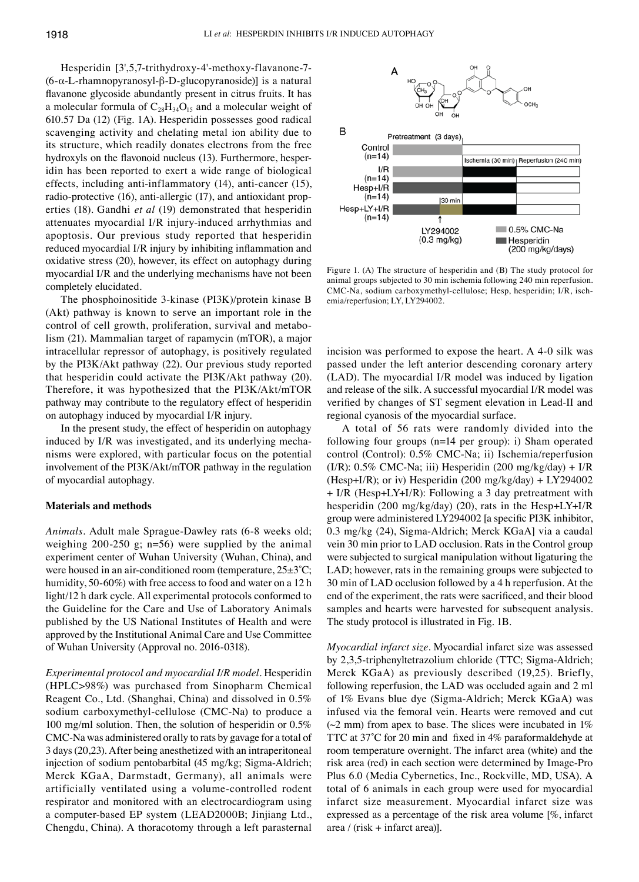Hesperidin [3',5,7-trithydroxy-4'-methoxy-flavanone-7- (6-α-L-rhamnopyranosyl-β‑D‑glucopyranoside)] is a natural flavanone glycoside abundantly present in citrus fruits. It has a molecular formula of  $C_{28}H_{34}O_{15}$  and a molecular weight of 610.57 Da (12) (Fig. 1A). Hesperidin possesses good radical scavenging activity and chelating metal ion ability due to its structure, which readily donates electrons from the free hydroxyls on the flavonoid nucleus (13). Furthermore, hesperidin has been reported to exert a wide range of biological effects, including anti-inflammatory (14), anti-cancer (15), radio-protective (16), anti-allergic (17), and antioxidant properties (18). Gandhi *et al* (19) demonstrated that hesperidin attenuates myocardial I/R injury-induced arrhythmias and apoptosis. Our previous study reported that hesperidin reduced myocardial I/R injury by inhibiting inflammation and oxidative stress (20), however, its effect on autophagy during myocardial I/R and the underlying mechanisms have not been completely elucidated.

The phosphoinositide 3-kinase (PI3K)/protein kinase B (Akt) pathway is known to serve an important role in the control of cell growth, proliferation, survival and metabolism (21). Mammalian target of rapamycin (mTOR), a major intracellular repressor of autophagy, is positively regulated by the PI3K/Akt pathway (22). Our previous study reported that hesperidin could activate the PI3K/Akt pathway (20). Therefore, it was hypothesized that the PI3K/Akt/mTOR pathway may contribute to the regulatory effect of hesperidin on autophagy induced by myocardial I/R injury.

In the present study, the effect of hesperidin on autophagy induced by I/R was investigated, and its underlying mechanisms were explored, with particular focus on the potential involvement of the PI3K/Akt/mTOR pathway in the regulation of myocardial autophagy.

#### **Materials and methods**

*Animals.* Adult male Sprague‑Dawley rats (6-8 weeks old; weighing 200-250 g; n=56) were supplied by the animal experiment center of Wuhan University (Wuhan, China), and were housed in an air-conditioned room (temperature,  $25\pm3^{\circ}$ C; humidity, 50-60%) with free access to food and water on a 12 h light/12 h dark cycle. All experimental protocols conformed to the Guideline for the Care and Use of Laboratory Animals published by the US National Institutes of Health and were approved by the Institutional Animal Care and Use Committee of Wuhan University (Approval no. 2016-0318).

*Experimental protocol and myocardial I/R model.* Hesperidin (HPLC>98%) was purchased from Sinopharm Chemical Reagent Co., Ltd. (Shanghai, China) and dissolved in 0.5% sodium carboxymethyl-cellulose (CMC‑Na) to produce a 100 mg/ml solution. Then, the solution of hesperidin or 0.5% CMC‑Na was administered orally to rats by gavage for a total of 3 days(20,23). After being anesthetized with an intraperitoneal injection of sodium pentobarbital (45 mg/kg; Sigma-Aldrich; Merck KGaA, Darmstadt, Germany), all animals were artificially ventilated using a volume-controlled rodent respirator and monitored with an electrocardiogram using a computer-based EP system (LEAD2000B; Jinjiang Ltd., Chengdu, China). A thoracotomy through a left parasternal



Figure 1. (A) The structure of hesperidin and (B) The study protocol for animal groups subjected to 30 min ischemia following 240 min reperfusion. CMC‑Na, sodium carboxymethyl-cellulose; Hesp, hesperidin; I/R, ischemia/reperfusion; LY, LY294002.

incision was performed to expose the heart. A 4-0 silk was passed under the left anterior descending coronary artery (LAD). The myocardial I/R model was induced by ligation and release of the silk. A successful myocardial I/R model was verified by changes of ST segment elevation in Lead‑Ⅱ and regional cyanosis of the myocardial surface.

A total of 56 rats were randomly divided into the following four groups (n=14 per group): i) Sham operated control (Control): 0.5% CMC‑Na; ii) Ischemia/reperfusion (I/R):  $0.5\%$  CMC-Na; iii) Hesperidin (200 mg/kg/day) + I/R (Hesp+I/R); or iv) Hesperidin (200 mg/kg/day) + LY294002 + I/R (Hesp+LY+I/R): Following a 3 day pretreatment with hesperidin (200 mg/kg/day) (20), rats in the Hesp+LY+I/R group were administered LY294002 [a specific PI3K inhibitor, 0.3 mg/kg (24), Sigma-Aldrich; Merck KGaA] via a caudal vein 30 min prior to LAD occlusion. Rats in the Control group were subjected to surgical manipulation without ligaturing the LAD; however, rats in the remaining groups were subjected to 30 min of LAD occlusion followed by a 4 h reperfusion. At the end of the experiment, the rats were sacrificed, and their blood samples and hearts were harvested for subsequent analysis. The study protocol is illustrated in Fig. 1B.

*Myocardial infarct size.* Myocardial infarct size was assessed by 2,3,5-triphenyltetrazolium chloride (TTC; Sigma-Aldrich; Merck KGaA) as previously described (19,25). Briefly, following reperfusion, the LAD was occluded again and 2 ml of 1% Evans blue dye (Sigma-Aldrich; Merck KGaA) was infused via the femoral vein. Hearts were removed and cut  $(\sim 2 \text{ mm})$  from apex to base. The slices were incubated in 1% TTC at 37˚C for 20 min and fixed in 4% paraformaldehyde at room temperature overnight. The infarct area (white) and the risk area (red) in each section were determined by Image-Pro Plus 6.0 (Media Cybernetics, Inc., Rockville, MD, USA). A total of 6 animals in each group were used for myocardial infarct size measurement. Myocardial infarct size was expressed as a percentage of the risk area volume [%, infarct area / (risk + infarct area)].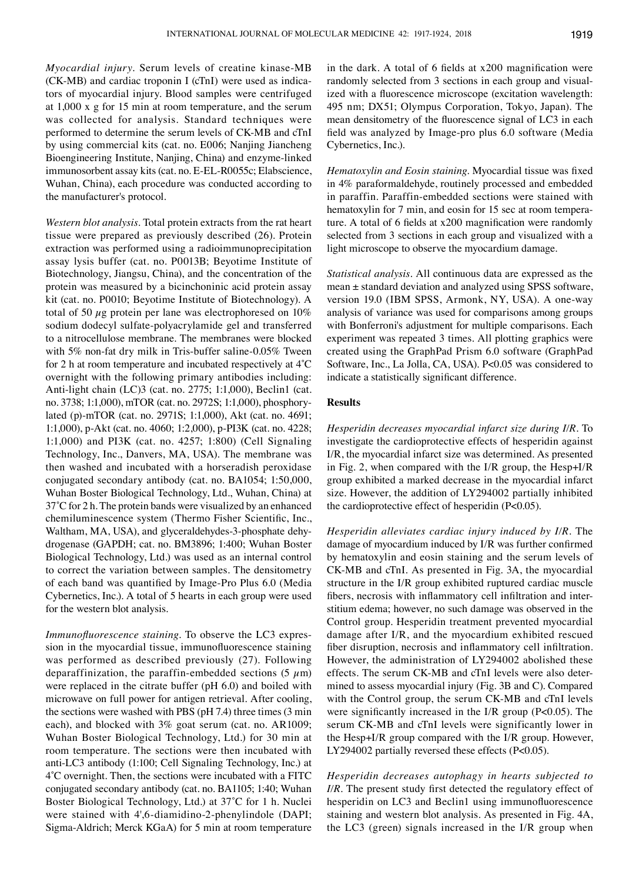*Myocardial injury.* Serum levels of creatine kinase-MB (CK-MB) and cardiac troponin I (cTnI) were used as indicators of myocardial injury. Blood samples were centrifuged at 1,000 x g for 15 min at room temperature, and the serum was collected for analysis. Standard techniques were performed to determine the serum levels of CK-MB and cTnI by using commercial kits (cat. no. E006; Nanjing Jiancheng Bioengineering Institute, Nanjing, China) and enzyme-linked immunosorbent assay kits (cat. no. E-EL-R0055c; Elabscience, Wuhan, China), each procedure was conducted according to the manufacturer's protocol.

*Western blot analysis.* Total protein extracts from the rat heart tissue were prepared as previously described (26). Protein extraction was performed using a radioimmunoprecipitation assay lysis buffer (cat. no. P0013B; Beyotime Institute of Biotechnology, Jiangsu, China), and the concentration of the protein was measured by a bicinchoninic acid protein assay kit (cat. no. P0010; Beyotime Institute of Biotechnology). A total of 50  $\mu$ g protein per lane was electrophoresed on 10% sodium dodecyl sulfate-polyacrylamide gel and transferred to a nitrocellulose membrane. The membranes were blocked with 5% non-fat dry milk in Tris-buffer saline-0.05% Tween for 2 h at room temperature and incubated respectively at 4˚C overnight with the following primary antibodies including: Anti-light chain (LC)3 (cat. no. 2775; 1:1,000), Beclin1 (cat. no. 3738; 1:1,000), mTOR (cat. no. 2972S; 1:1,000), phosphorylated (p)-mTOR (cat. no. 2971S; 1:1,000), Akt (cat. no. 4691; 1:1,000), p-Akt (cat. no. 4060; 1:2,000), p-PI3K (cat. no. 4228; 1:1,000) and PI3K (cat. no. 4257; 1:800) (Cell Signaling Technology, Inc., Danvers, MA, USA). The membrane was then washed and incubated with a horseradish peroxidase conjugated secondary antibody (cat. no. BA1054; 1:50,000, Wuhan Boster Biological Technology, Ltd., Wuhan, China) at 37˚C for 2 h. The protein bands were visualized by an enhanced chemiluminescence system (Thermo Fisher Scientific, Inc., Waltham, MA, USA), and glyceraldehydes-3-phosphate dehydrogenase (GAPDH; cat. no. BM3896; 1:400; Wuhan Boster Biological Technology, Ltd.) was used as an internal control to correct the variation between samples. The densitometry of each band was quantified by Image‑Pro Plus 6.0 (Media Cybernetics, Inc.). A total of 5 hearts in each group were used for the western blot analysis.

*Immunofluorescence staining.* To observe the LC3 expression in the myocardial tissue, immunofluorescence staining was performed as described previously (27). Following deparaffinization, the paraffin-embedded sections  $(5 \mu m)$ were replaced in the citrate buffer (pH 6.0) and boiled with microwave on full power for antigen retrieval. After cooling, the sections were washed with PBS (pH 7.4) three times (3 min each), and blocked with 3% goat serum (cat. no. AR1009; Wuhan Boster Biological Technology, Ltd.) for 30 min at room temperature. The sections were then incubated with anti-LC3 antibody (1:100; Cell Signaling Technology, Inc.) at 4˚C overnight. Then, the sections were incubated with a FITC conjugated secondary antibody (cat. no. BA1105; 1:40; Wuhan Boster Biological Technology, Ltd.) at 37˚C for 1 h. Nuclei were stained with 4',6-diamidino-2-phenylindole (DAPI; Sigma-Aldrich; Merck KGaA) for 5 min at room temperature in the dark. A total of 6 fields at x200 magnification were randomly selected from 3 sections in each group and visualized with a fluorescence microscope (excitation wavelength: 495 nm; DX51; Olympus Corporation, Tokyo, Japan). The mean densitometry of the fluorescence signal of LC3 in each field was analyzed by Image‑pro plus 6.0 software (Media Cybernetics, Inc.).

*Hematoxylin and Eosin staining.* Myocardial tissue was fixed in 4% paraformaldehyde, routinely processed and embedded in paraffin. Paraffin-embedded sections were stained with hematoxylin for 7 min, and eosin for 15 sec at room temperature. A total of 6 fields at x200 magnification were randomly selected from 3 sections in each group and visualized with a light microscope to observe the myocardium damage.

*Statistical analysis.* All continuous data are expressed as the mean ± standard deviation and analyzed using SPSS software, version 19.0 (IBM SPSS, Armonk, NY, USA). A one-way analysis of variance was used for comparisons among groups with Bonferroni's adjustment for multiple comparisons. Each experiment was repeated 3 times. All plotting graphics were created using the GraphPad Prism 6.0 software (GraphPad Software, Inc., La Jolla, CA, USA). P<0.05 was considered to indicate a statistically significant difference.

## **Results**

*Hesperidin decreases myocardial infarct size during I/R.* To investigate the cardioprotective effects of hesperidin against I/R, the myocardial infarct size was determined. As presented in Fig. 2, when compared with the I/R group, the Hesp+I/R group exhibited a marked decrease in the myocardial infarct size. However, the addition of LY294002 partially inhibited the cardioprotective effect of hesperidin (P<0.05).

*Hesperidin alleviates cardiac injury induced by I/R.* The damage of myocardium induced by I/R was further confirmed by hematoxylin and eosin staining and the serum levels of CK-MB and cTnI. As presented in Fig. 3A, the myocardial structure in the I/R group exhibited ruptured cardiac muscle fibers, necrosis with inflammatory cell infiltration and interstitium edema; however, no such damage was observed in the Control group. Hesperidin treatment prevented myocardial damage after I/R, and the myocardium exhibited rescued fiber disruption, necrosis and inflammatory cell infiltration. However, the administration of LY294002 abolished these effects. The serum CK-MB and cTnI levels were also determined to assess myocardial injury (Fig. 3B and C). Compared with the Control group, the serum CK-MB and cTnI levels were significantly increased in the I/R group (P<0.05). The serum CK-MB and cTnI levels were significantly lower in the Hesp+I/R group compared with the I/R group. However, LY294002 partially reversed these effects (P<0.05).

*Hesperidin decreases autophagy in hearts subjected to I/R*. The present study first detected the regulatory effect of hesperidin on LC3 and Beclin1 using immunofluorescence staining and western blot analysis. As presented in Fig. 4A, the LC3 (green) signals increased in the I/R group when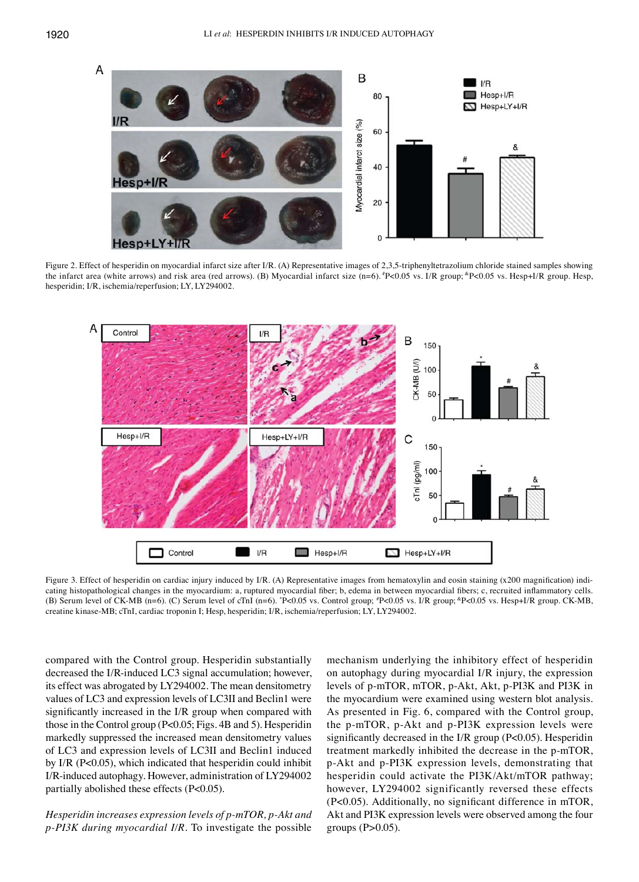

Figure 2. Effect of hesperidin on myocardial infarct size after I/R. (A) Representative images of 2,3,5-triphenyltetrazolium chloride stained samples showing the infarct area (white arrows) and risk area (red arrows). (B) Myocardial infarct size (n=6).  $P$  = 0.05 vs. I/R group;  ${}^{\circ}P$  = 0.05 vs. Hesp+I/R group. Hesp, hesperidin; I/R, ischemia/reperfusion; LY, LY294002.



Figure 3. Effect of hesperidin on cardiac injury induced by I/R. (A) Representative images from hematoxylin and eosin staining (x200 magnification) indicating histopathological changes in the myocardium: a, ruptured myocardial fiber; b, edema in between myocardial fibers; c, recruited inflammatory cells. (B) Serum level of CK-MB (n=6). (C) Serum level of cTnI (n=6). "P<0.05 vs. Control group; "P<0.05 vs. I/R group; "P<0.05 vs. Hesp+I/R group. CK-MB, creatine kinase-MB; cTnI, cardiac troponin I; Hesp, hesperidin; I/R, ischemia/reperfusion; LY, LY294002.

compared with the Control group. Hesperidin substantially decreased the I/R-induced LC3 signal accumulation; however, its effect was abrogated by LY294002. The mean densitometry values of LC3 and expression levels of LC3Ⅱ and Beclin1 were significantly increased in the I/R group when compared with those in the Control group (P<0.05; Figs. 4B and 5). Hesperidin markedly suppressed the increased mean densitometry values of LC3 and expression levels of LC3Ⅱ and Beclin1 induced by I/R (P<0.05), which indicated that hesperidin could inhibit I/R-induced autophagy. However, administration of LY294002 partially abolished these effects (P<0.05).

*Hesperidin increases expression levels of p‑mTOR, p‑Akt and p‑PI3K during myocardial I/R.* To investigate the possible mechanism underlying the inhibitory effect of hesperidin on autophagy during myocardial I/R injury, the expression levels of p-mTOR, mTOR, p-Akt, Akt, p-PI3K and PI3K in the myocardium were examined using western blot analysis. As presented in Fig. 6, compared with the Control group, the p-mTOR, p-Akt and p-PI3K expression levels were significantly decreased in the I/R group (P<0.05). Hesperidin treatment markedly inhibited the decrease in the p-mTOR, p-Akt and p-PI3K expression levels, demonstrating that hesperidin could activate the PI3K/Akt/mTOR pathway; however, LY294002 significantly reversed these effects (P<0.05). Additionally, no significant difference in mTOR, Akt and PI3K expression levels were observed among the four groups (P>0.05).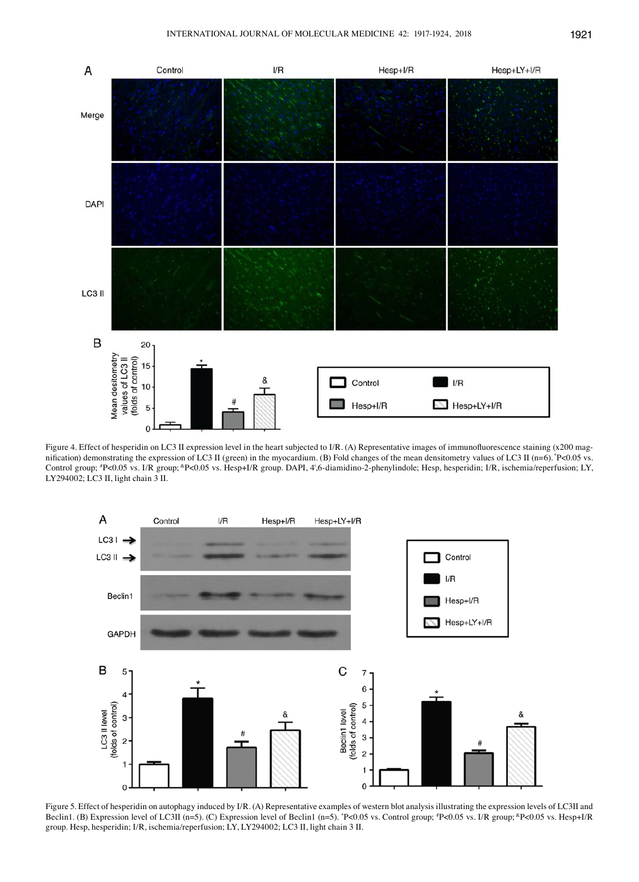

Figure 4. Effect of hesperidin on LC3 II expression level in the heart subjected to I/R. (A) Representative images of immunofluorescence staining (x200 magnification) demonstrating the expression of LC3 II (green) in the myocardium. (B) Fold changes of the mean densitometry values of LC3 II (n=6). \*P<0.05 vs. Control group; # P<0.05 vs. I/R group; &P<0.05 vs. Hesp+I/R group. DAPI, 4',6-diamidino-2-phenylindole; Hesp, hesperidin; I/R, ischemia/reperfusion; LY, LY294002; LC3 Ⅱ, light chain 3 Ⅱ.



Figure 5. Effect of hesperidin on autophagy induced by I/R. (A) Representative examples of western blot analysis illustrating the expression levels of LC3Ⅱ and Beclin1. (B) Expression level of LC3II (n=5). (C) Expression level of Beclin1 (n=5). "P<0.05 vs. Control group; "P<0.05 vs. I/R group; "P<0.05 vs. Hesp+I/R group. Hesp, hesperidin; I/R, ischemia/reperfusion; LY, LY294002; LC3 Ⅱ, light chain 3 Ⅱ.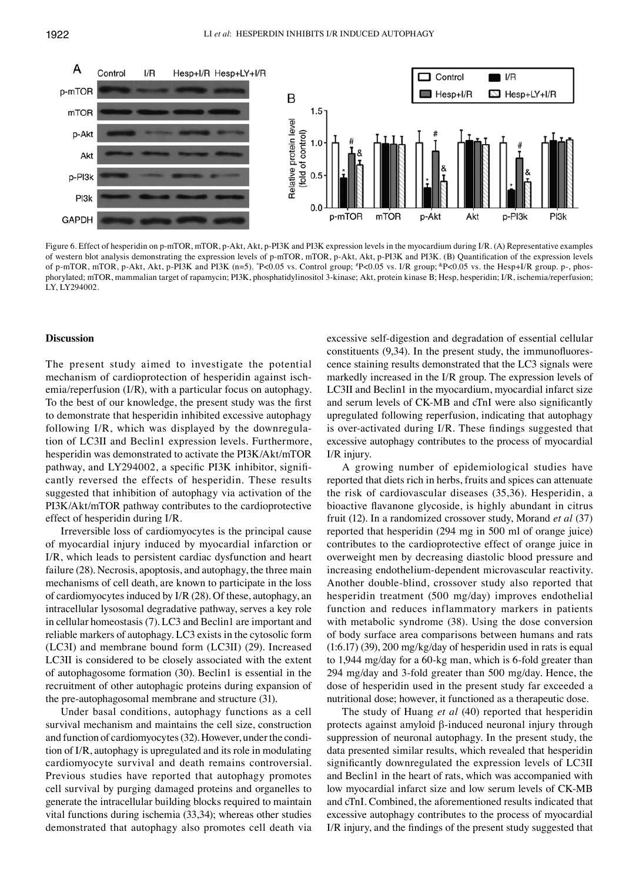

Figure 6. Effect of hesperidin on p-mTOR, mTOR, p-Akt, Akt, p-PI3K and PI3K expression levels in the myocardium during I/R. (A) Representative examples of western blot analysis demonstrating the expression levels of p-mTOR, mTOR, p-Akt, Akt, p-PI3K and PI3K. (B) Quantification of the expression levels of p-mTOR, mTOR, p-Akt, Akt, p-PI3K and PI3K (n=5). \*P<0.05 vs. Control group; \*P<0.05 vs. I/R group; \*P<0.05 vs. the Hesp+I/R group. p-, phosphorylated; mTOR, mammalian target of rapamycin; PI3K, phosphatidylinositol 3-kinase; Akt, protein kinase B; Hesp, hesperidin; I/R, ischemia/reperfusion; LY, LY294002.

#### **Discussion**

The present study aimed to investigate the potential mechanism of cardioprotection of hesperidin against ischemia/reperfusion (I/R), with a particular focus on autophagy. To the best of our knowledge, the present study was the first to demonstrate that hesperidin inhibited excessive autophagy following I/R, which was displayed by the downregulation of LC3Ⅱ and Beclin1 expression levels. Furthermore, hesperidin was demonstrated to activate the PI3K/Akt/mTOR pathway, and LY294002, a specific PI3K inhibitor, significantly reversed the effects of hesperidin. These results suggested that inhibition of autophagy via activation of the PI3K/Akt/mTOR pathway contributes to the cardioprotective effect of hesperidin during I/R.

Irreversible loss of cardiomyocytes is the principal cause of myocardial injury induced by myocardial infarction or I/R, which leads to persistent cardiac dysfunction and heart failure (28). Necrosis, apoptosis, and autophagy, the three main mechanisms of cell death, are known to participate in the loss of cardiomyocytes induced by I/R (28). Of these, autophagy, an intracellular lysosomal degradative pathway, serves a key role in cellular homeostasis(7). LC3 and Beclin1 are important and reliable markers of autophagy. LC3 exists in the cytosolic form (LC3Ⅰ) and membrane bound form (LC3Ⅱ) (29). Increased LC3Ⅱ is considered to be closely associated with the extent of autophagosome formation (30). Beclin1 is essential in the recruitment of other autophagic proteins during expansion of the pre-autophagosomal membrane and structure (31).

Under basal conditions, autophagy functions as a cell survival mechanism and maintains the cell size, construction and function of cardiomyocytes(32). However, under the condition of I/R, autophagy is upregulated and its role in modulating cardiomyocyte survival and death remains controversial. Previous studies have reported that autophagy promotes cell survival by purging damaged proteins and organelles to generate the intracellular building blocks required to maintain vital functions during ischemia (33,34); whereas other studies demonstrated that autophagy also promotes cell death via excessive self-digestion and degradation of essential cellular constituents (9,34). In the present study, the immunofluorescence staining results demonstrated that the LC3 signals were markedly increased in the I/R group. The expression levels of LC3Ⅱ and Beclin1 in the myocardium, myocardial infarct size and serum levels of CK‑MB and cTnI were also significantly upregulated following reperfusion, indicating that autophagy is over-activated during I/R. These findings suggested that excessive autophagy contributes to the process of myocardial I/R injury.

A growing number of epidemiological studies have reported that diets rich in herbs, fruits and spices can attenuate the risk of cardiovascular diseases (35,36). Hesperidin, a bioactive flavanone glycoside, is highly abundant in citrus fruit (12). In a randomized crossover study, Morand *et al* (37) reported that hesperidin (294 mg in 500 ml of orange juice) contributes to the cardioprotective effect of orange juice in overweight men by decreasing diastolic blood pressure and increasing endothelium-dependent microvascular reactivity. Another double-blind, crossover study also reported that hesperidin treatment (500 mg/day) improves endothelial function and reduces inflammatory markers in patients with metabolic syndrome (38). Using the dose conversion of body surface area comparisons between humans and rats (1:6.17) (39), 200 mg/kg/day of hesperidin used in rats is equal to 1,944 mg/day for a 60-kg man, which is 6-fold greater than 294 mg/day and 3-fold greater than 500 mg/day. Hence, the dose of hesperidin used in the present study far exceeded a nutritional dose; however, it functioned as a therapeutic dose.

The study of Huang *et al* (40) reported that hesperidin protects against amyloid β-induced neuronal injury through suppression of neuronal autophagy. In the present study, the data presented similar results, which revealed that hesperidin significantly downregulated the expression levels of LC3Ⅱ and Beclin1 in the heart of rats, which was accompanied with low myocardial infarct size and low serum levels of CK-MB and cTnI. Combined, the aforementioned results indicated that excessive autophagy contributes to the process of myocardial I/R injury, and the findings of the present study suggested that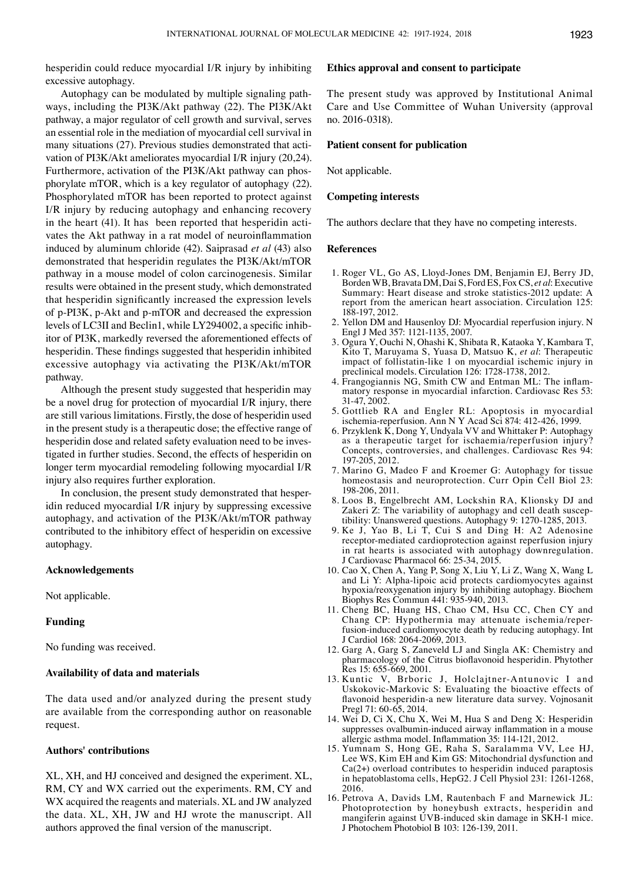hesperidin could reduce myocardial I/R injury by inhibiting excessive autophagy.

Autophagy can be modulated by multiple signaling pathways, including the PI3K/Akt pathway (22). The PI3K/Akt pathway, a major regulator of cell growth and survival, serves an essential role in the mediation of myocardial cell survival in many situations (27). Previous studies demonstrated that activation of PI3K/Akt ameliorates myocardial I/R injury (20,24). Furthermore, activation of the PI3K/Akt pathway can phosphorylate mTOR, which is a key regulator of autophagy (22). Phosphorylated mTOR has been reported to protect against I/R injury by reducing autophagy and enhancing recovery in the heart (41). It has been reported that hesperidin activates the Akt pathway in a rat model of neuroinflammation induced by aluminum chloride (42). Saiprasad *et al* (43) also demonstrated that hesperidin regulates the PI3K/Akt/mTOR pathway in a mouse model of colon carcinogenesis. Similar results were obtained in the present study, which demonstrated that hesperidin significantly increased the expression levels of p-PI3K, p-Akt and p-mTOR and decreased the expression levels of LC3Ⅱ and Beclin1, while LY294002, a specific inhibitor of PI3K, markedly reversed the aforementioned effects of hesperidin. These findings suggested that hesperidin inhibited excessive autophagy via activating the PI3K/Akt/mTOR pathway.

Although the present study suggested that hesperidin may be a novel drug for protection of myocardial I/R injury, there are still various limitations. Firstly, the dose of hesperidin used in the present study is a therapeutic dose; the effective range of hesperidin dose and related safety evaluation need to be investigated in further studies. Second, the effects of hesperidin on longer term myocardial remodeling following myocardial I/R injury also requires further exploration.

In conclusion, the present study demonstrated that hesperidin reduced myocardial I/R injury by suppressing excessive autophagy, and activation of the PI3K/Akt/mTOR pathway contributed to the inhibitory effect of hesperidin on excessive autophagy.

### **Acknowledgements**

Not applicable.

## **Funding**

No funding was received.

#### **Availability of data and materials**

The data used and/or analyzed during the present study are available from the corresponding author on reasonable request.

### **Authors' contributions**

XL, XH, and HJ conceived and designed the experiment. XL, RM, CY and WX carried out the experiments. RM, CY and WX acquired the reagents and materials. XL and JW analyzed the data. XL, XH, JW and HJ wrote the manuscript. All authors approved the final version of the manuscript.

#### **Ethics approval and consent to participate**

The present study was approved by Institutional Animal Care and Use Committee of Wuhan University (approval no. 2016-0318).

## **Patient consent for publication**

Not applicable.

## **Competing interests**

The authors declare that they have no competing interests.

#### **References**

- 1. Roger VL, Go AS, Lloyd-Jones DM, Benjamin EJ, Berry JD, Borden WB, Bravata DM, Dai S, Ford ES, Fox CS, *et al*: Executive Summary: Heart disease and stroke statistics-2012 update: A report from the american heart association. Circulation 125: 188-197, 2012.
- 2. Yellon DM and Hausenloy DJ: Myocardial reperfusion injury. N Engl J Med 357: 1121-1135, 2007.
- 3. Ogura Y, Ouchi N, Ohashi K, Shibata R, Kataoka Y, Kambara T, Kito T, Maruyama S, Yuasa D, Matsuo K, *et al*: Therapeutic impact of follistatin-like 1 on myocardial ischemic injury in preclinical models. Circulation 126: 1728-1738, 2012.
- 4. Frangogiannis NG, Smith CW and Entman ML: The inflammatory response in myocardial infarction. Cardiovasc Res 53: 31-47, 2002.
- 5. Gottlieb RA and Engler RL: Apoptosis in myocardial ischemia-reperfusion. Ann N Y Acad Sci 874: 412-426, 1999.
- 6. Przyklenk K, Dong Y, Undyala VV and Whittaker P: Autophagy as a therapeutic target for ischaemia/reperfusion injury? Concepts, controversies, and challenges. Cardiovasc Res 94: 197-205, 2012.
- 7. Marino G, Madeo F and Kroemer G: Autophagy for tissue homeostasis and neuroprotection. Curr Opin Cell Biol 23: 198-206, 2011.
- 8. Loos B, Engelbrecht AM, Lockshin RA, Klionsky DJ and Zakeri Z: The variability of autophagy and cell death susceptibility: Unanswered questions. Autophagy 9: 1270-1285, 2013.
- 9. Ke J, Yao B, Li T, Cui S and Ding H: A2 Adenosine receptor-mediated cardioprotection against reperfusion injury in rat hearts is associated with autophagy downregulation. J Cardiovasc Pharmacol 66: 25-34, 2015.
- 10. Cao X, Chen A, Yang P, Song X, Liu Y, Li Z, Wang X, Wang L and Li Y: Alpha-lipoic acid protects cardiomyocytes against hypoxia/reoxygenation injury by inhibiting autophagy. Biochem Biophys Res Commun 441: 935-940, 2013.
- 11. Cheng BC, Huang HS, Chao CM, Hsu CC, Chen CY and Chang CP: Hypothermia may attenuate ischemia/reperfusion-induced cardiomyocyte death by reducing autophagy. Int J Cardiol 168: 2064-2069, 2013.
- 12. Garg A, Garg S, Zaneveld LJ and Singla AK: Chemistry and pharmacology of the Citrus bioflavonoid hesperidin. Phytother Res 15: 655-669, 2001.
- 13. Kuntic V, Brboric J, Holclajtner-Antunovic I and Uskokovic-Markovic S: Evaluating the bioactive effects of flavonoid hesperidin‑a new literature data survey. Vojnosanit Pregl 71: 60-65, 2014.
- 14. Wei D, Ci X, Chu X, Wei M, Hua S and Deng X: Hesperidin suppresses ovalbumin‑induced airway inflammation in a mouse allergic asthma model. Inflammation 35: 114‑121, 2012.
- 15. Yumnam S, Hong GE, Raha S, Saralamma VV, Lee HJ, Lee WS, Kim EH and Kim GS: Mitochondrial dysfunction and Ca(2+) overload contributes to hesperidin induced paraptosis in hepatoblastoma cells, HepG2. J Cell Physiol 231: 1261-1268, 2016.
- 16. Petrova A, Davids LM, Rautenbach F and Marnewick JL: Photoprotection by honeybush extracts, hesperidin and mangiferin against UVB-induced skin damage in SKH-1 mice. J Photochem Photobiol B 103: 126-139, 2011.